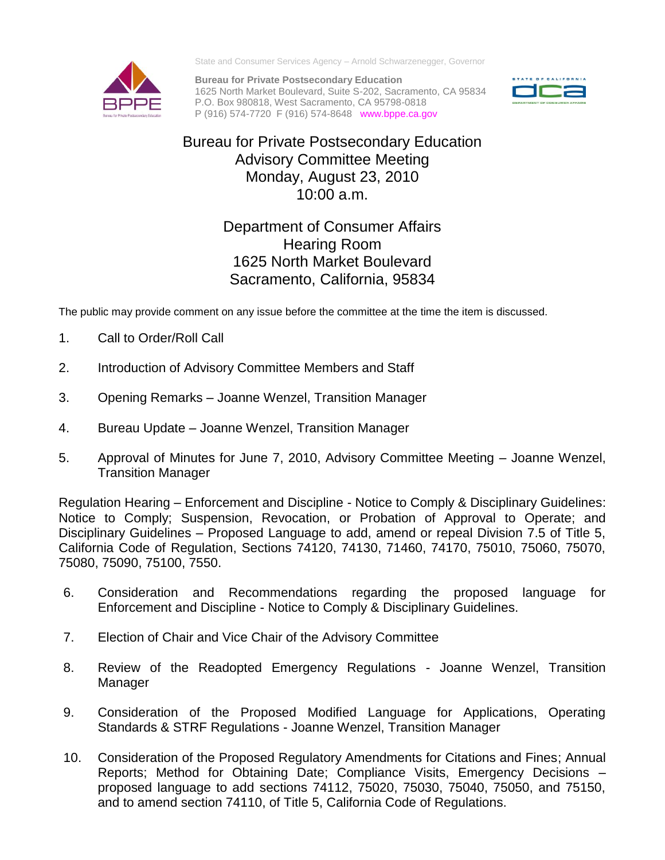

State and Consumer Services Agency – Arnold Schwarzenegger, Governor

**Bureau for Private Postsecondary Education** 1625 North Market Boulevard, Suite S-202, Sacramento, CA 95834 P.O. Box 980818, West Sacramento, CA 95798-0818 P (916) 574-7720 F (916) 574-8648 www.bppe.ca.gov



## Bureau for Private Postsecondary Education Advisory Committee Meeting Monday, August 23, 2010 10:00 a.m.

## Department of Consumer Affairs Hearing Room 1625 North Market Boulevard Sacramento, California, 95834

The public may provide comment on any issue before the committee at the time the item is discussed.

- 1. Call to Order/Roll Call
- 2. Introduction of Advisory Committee Members and Staff
- 3. Opening Remarks Joanne Wenzel, Transition Manager
- 4. Bureau Update Joanne Wenzel, Transition Manager
- 5. Approval of Minutes for June 7, 2010, Advisory Committee Meeting Joanne Wenzel, Transition Manager

Regulation Hearing – Enforcement and Discipline - Notice to Comply & Disciplinary Guidelines: Notice to Comply; Suspension, Revocation, or Probation of Approval to Operate; and Disciplinary Guidelines – Proposed Language to add, amend or repeal Division 7.5 of Title 5, California Code of Regulation, Sections 74120, 74130, 71460, 74170, 75010, 75060, 75070, 75080, 75090, 75100, 7550.

- 6. Consideration and Recommendations regarding the proposed language for Enforcement and Discipline - Notice to Comply & Disciplinary Guidelines.
- 7. Election of Chair and Vice Chair of the Advisory Committee
- 8. Review of the Readopted Emergency Regulations Joanne Wenzel, Transition Manager
- 9. Consideration of the Proposed Modified Language for Applications, Operating Standards & STRF Regulations - Joanne Wenzel, Transition Manager
- 10. Consideration of the Proposed Regulatory Amendments for Citations and Fines; Annual Reports; Method for Obtaining Date; Compliance Visits, Emergency Decisions – proposed language to add sections 74112, 75020, 75030, 75040, 75050, and 75150, and to amend section 74110, of Title 5, California Code of Regulations.